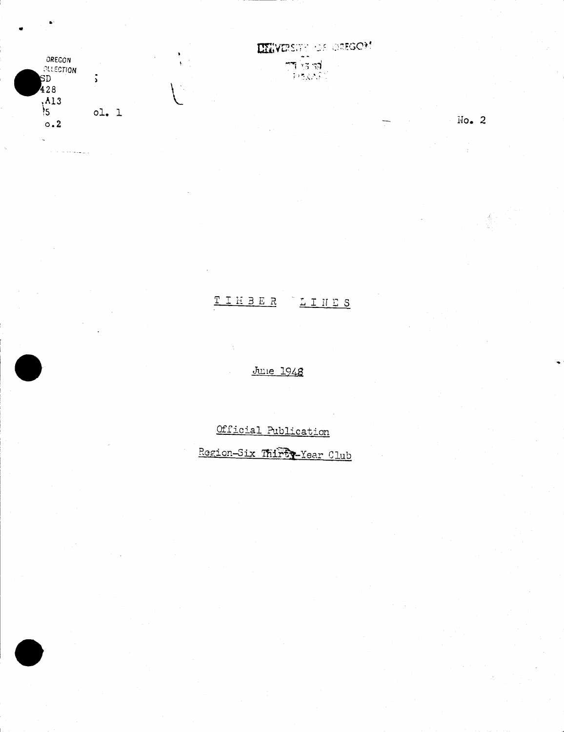

 $\label{eq:1} \hat{\gamma}^{\dagger}(\hat{\gamma}) = \hat{\gamma}^{\dagger}(\hat{\gamma}^{\dagger}(\hat{\gamma}^{\dagger}_{\alpha}))$ 

 $\mathbf{v}$ 

 $\bar{\psi}$ 

Ŷ,

 $\mathbf{h}^{\prime}$ 

**LIEVERSITY OF OREGON** 

 $No. 2$ 

 $\bar{z}$ 

# TIMBER LINES

June 1948

Official Publication

Region-Six Thirty-Year Club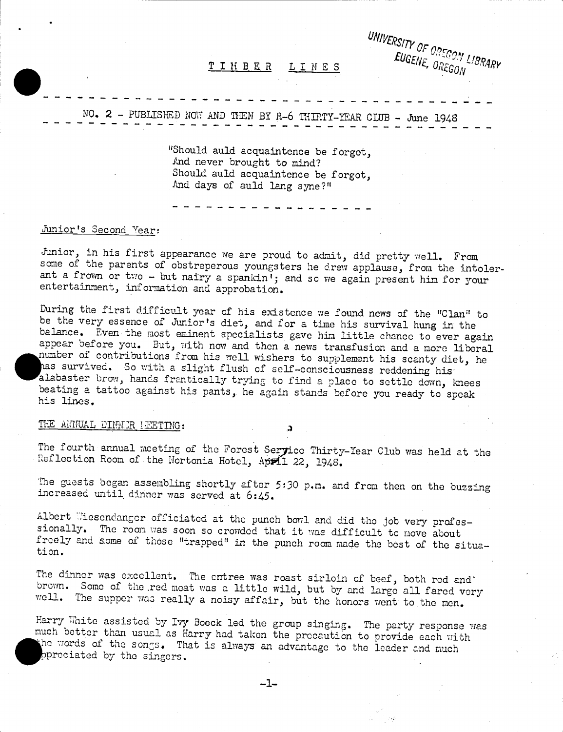

NO. 2 - PUBLISHED NOVT AND THEN BY R-6 THIRTY-YEAR CLUB - June 1948

"Should auld acquaintence be forgot, And never brought to mind? Should auld acquaintence be forgot, And days of auld lang syne?"

## Junior's Second Year:

Junior, in his first appearance we are proud to admit, did pretty well. From<br>some of the parents of obstreperous youngsters he drew applause, from the intolerant a frown or two - but nairy a spankin<sup>1</sup>; and so we again present him for your entertainment, information and approbation.

During the first difficult year of his existence we found news of the "Clan" to be the very essence of Junior's diet, and for a tine his survival hung in the balance. Even the most eminent specialists gave him little chance to ever again appear before you. But, with now and then a news transfusion and a more liberal number of contributions from. his well wishers to supplement his scanty diet, he has survived. So with a slight flush of self-consciousness reddening his alabaster brow, hands frantically trying to find a place to settle down, knees beating a tattoo against his pants, he again stands before you ready to speak his lines.

### THE ANNUAL DINNER LEETING:

The fourth annual meeting of the Forest Seryice Thirty-Year Club was held at the Reflection Room of the Nortonia Hotel, April 22, 1948.

C.

The guests began assembling shortly after 5:30 p.m. and from then on the buzzing increased until dinner was served at 6:45.

Albert Wiesendanger officiated at the punch bowl and did the job very professionally. The room. was soon so crowded that it was difficult to move about freely and some of those "trapped" in the punch room made the best of the situation.

The dinner was excellent. The entree was roast sirloin of beef, both red and'<br>brown. Some of the red meat was a little wild, but by and large all fared very well. The supper was really a noisy affair, but the honors went to the men.

Harry White assisted by Ivy Boeck led the group singing. The party response was much better than usual as Harry had taken the precaution to provide each with the words of the songs. That is always an advantage to the leade prociated by the singers.

 $-1-$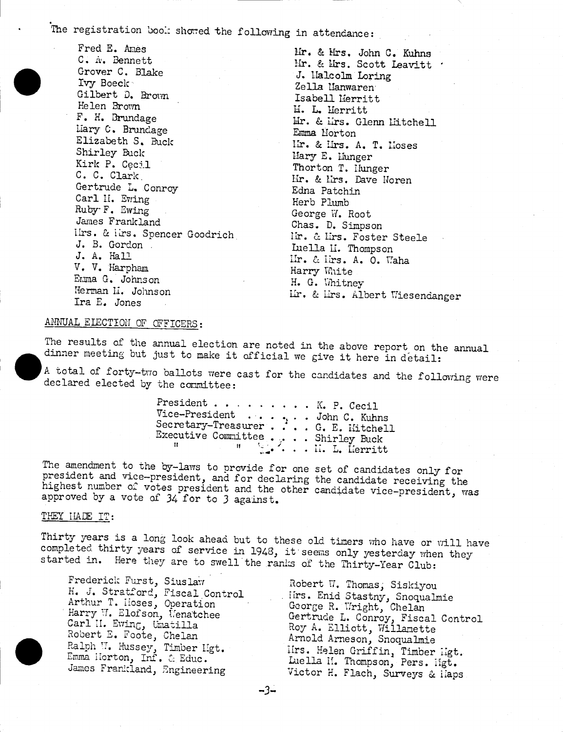The registration book showed the following in attendance:

Fred E. Ames C. A. Bennett Grover C. Blake Ivy Boeck Gilbert D. Brown Helen Brown F. H. Brundage Liary C. Brundage Elizabeth S. Buck Shirley Buck Kirk P. Cecil C. C. Clark Gertrude L. Conroy Carl H. Ewing Ruby F. Ewing James Frankland Ilrs. & lirs. Spencer Goodrich J. B. Gordon J. A. Hall V. V. Harpham Enma G. Johnson Herman L. Johnson Ira E. Jones

Mr. & Mrs. John C. Kuhns Mr. & Mrs. Scott Leavitt . J. Halcolm Loring Zella Manwaren Isabell Merritt M. L. Merritt Mr. & Mrs. Glenn Mitchell Emma Morton In. & Hrs. A. T. Hoses Mary E. Munger Thorton T. Hunger Hr. & Hrs. Dave Noren Edna Patchin Herb Plumb George W. Root Chas. D. Simpson lir. & lirs. Foster Steele Luella II. Thompson IIr. & Iirs. A. O. Waha Harry White H. G. Whitney Ir. & Irs. Albert Wiesendanger

#### ANNUAL ELECTION OF OFFICERS:

The results of the annual election are noted in the above report on the annual dinner meeting but just to make it official we give it here in detail:

A total of forty-two ballots were cast for the candidates and the following were declared elected by the committee:

> President . . . . . . . . . K. P. Cecil

The amendment to the by-laws to provide for one set of candidates only for president and vice-president, and for declaring the candidate receiving the highest number of votes president and the other candidate vice-president, was<br>approved by a vote of 34 for to 3 against.

#### THEY HADE IT:

Thirty years is a long look ahead but to these old timers who have or will have completed thirty years of service in 1948, it seems only yesterday when they started in. Here they are to swell the ranks of the Thirty-Year Club:

Frederick Furst, Siuslaw H. J. Stratford, Fiscal Control Arthur T. Hoses, Operation Harry W. Elofson, Venatchee Carl II. Ewing, Umatilla<br>Robert E. Foote, Chelan Ralph W. Hussey, Timber Hgt.<br>Emma Horton, Inf. & Educ. James Frankland, Engineering

Robert W. Thomas, Siskiyou Hotel ... Hotel, Shoqualmie<br>George R. Wright, Chelan<br>Gertrude L. Conroy, Fiscal Control<br>Roy A. Elliott, Willamette<br>Armold Arneson, Snoqualmie Arnota Arneson, Susquerer<br>IIrs. Helen Griffin, Timber Higt.<br>Luella H. Thompson, Pers. Higt.<br>Victor H. Flach, Surveys & Haps

 $-3-$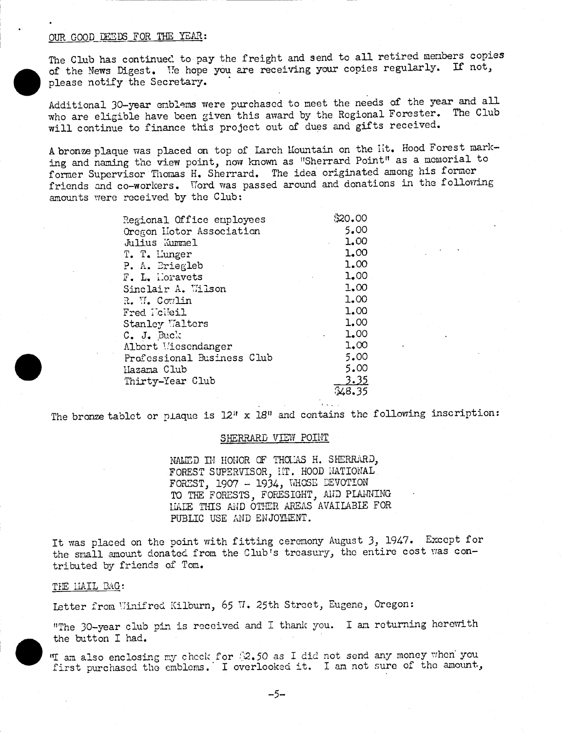#### OUR GOOD DEEDS FOR THE YEAR:

The Club has continued to pay the freight and send to all retired members copies of the News Digest. 'Te hope you are receiving your copies regularly. If not, please notify the Secretary.

Additional 30-year emblems were purchased to meet the needs of the year and all who are eligible have been given this award by the Regional Forester. The Club will continue to finance this project out of dues and gifts received.

A bronze plaque was placed on top of Larch Mountain on the Iit. Hood Forest marking and naming the view point, now known as "Sherrard Point" as a memorial to former Supervisor Thomas H. Sherrard. The idea originated among his former friends and co-workers. Word was passed around and donations in the following amounts were received by the Club:

| Regional Office employees  | \$20.00     |  |
|----------------------------|-------------|--|
| Oregon Liotor Association  | 5.00        |  |
| Julius Kummel              | 1.00        |  |
| T. T. Lunger               | 1.00        |  |
| P. A. Briegleb             | 1.00        |  |
| F. L. Horavets             | 1,00        |  |
| Sinclair A. Wilson         | 1.00        |  |
| R. W. Cowlin               | 1.00        |  |
| Fred Holleil               | 1.00        |  |
| Stanley Walters            | 1.00        |  |
| C. J. Buck                 | 1.00        |  |
| Albert Wiesendanger        | 1,00        |  |
| Professional Business Club | 5.00        |  |
| Hazama Club                | 5.00        |  |
| Thirty-Year Club           | <u>3.35</u> |  |
|                            | 348.35      |  |
|                            |             |  |

The bronze tablet or plaque is  $12$ " x  $18$ " and contains the following inscription:

#### SHERRARD VIEW POINT

NALD IN HONOR OF THOLAS H. SHERRARD, FOREST SUPERVISOR, HT. HOOD NATIONAL FOREST, 1907 - 1934, WHOSE DEVOTION TO THE FORESTS, FORESIGHT, AND PLANNING LIA THIS AND OThER AREAS AVAILABlE FOR PUBLIC USE AND ENJOYMENT.

It was placed on the point with fitting ceremony August 3, 1947. Except for the small amount donated from the Club's treasury, the entire cost was contributed by friends of Tom.

#### THE LIAIL BAG:

Letter from Winifred Kilburn, 65 W. 25th Street, Eugene, Oregon:

"The 30-year club pin is received and I thank you. I am returning herewith the button I had.

"I am also enclosing my chock for  $32.50$  as I did not send any money when' you first purchased the emblems. I overlooked it. I am not sure of the amount,

-5-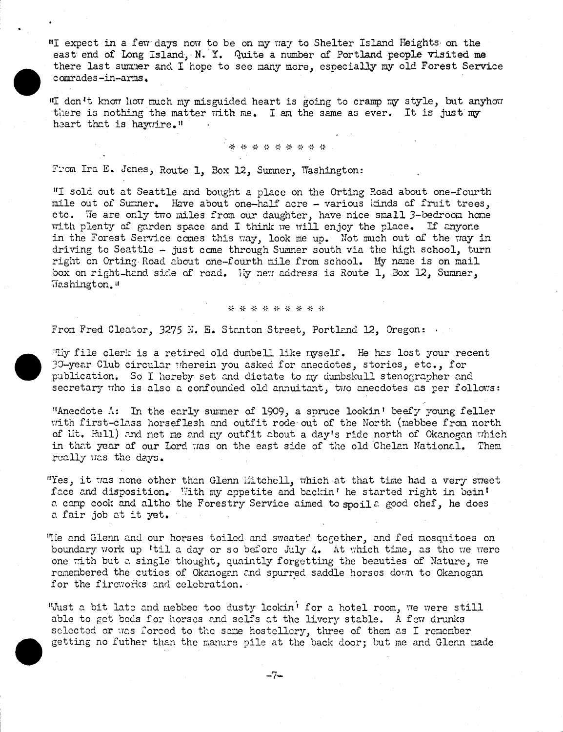"I expect in a few days now to be on my way to Shelter Island Heights on the east erd of Long Island, N. Y. Quite a number of Portland people visited me there last sumner and I hope to see many more, especially my old Forest Service comrades-in-arms.

"I don't know how much my misguided heart is going to cramp my style, but anyhow there is nothing the matter with me. I am the same as ever. It is just my heart that is haywrire."

\* \* \*\*\*\* \* \* \*

From Ira E. Jones, Route 1, Box 12, Sumner, Washington:

"I sold out at Seattle and bought a place on the Orting Road about one-fourth mile out of Sumner. Have about one-half acre - various idrids of fruit trees, etc. Te are only two miles from our daughter, have nice small 3-bedroom hone with plenty of garden space and I think we will enjoy the place. If anyone in the Forest Service comes this way, look me up. Not much out of the way in driving to Seattle  $-$  just come through Sumner south via the high school, turn right on Orting- Road about one-fourth mile from school. My name is on mail box on right\_hand side of road. Liy new address is Route 1, Box 12, Sumner, Tashington."

#### \*\*\*\*\*\*\*\*\*

From Fred Cleator, 3275 N. E. Stanton Street, Portland 12, Oregon:

"Thy file clerk is a retired old dumbell like nyself. He has lost your recent 30-year Club circular wherein you asked for anecdotes, stories, etc., for publication. So I hereby set and dictate to my dunbskull stenographer and secretary who is also a confounded old annuitant, two anecdotes as per follows:

"Anecdote  $\Lambda$ : In the early summer of 1909, a spruce lookin' beefy young feller with first-clasa horseflesh and outfit rode out of the North (mebbee from north of Lit. Hull) and net me and my outfit about a day's ride north of Okanogan which in that year of our Lord was on the east side of the old Chelan National. Them really was the days.

"Yes, it was none other than Glenn Uitchdll, which at that time had a very sweet face and disposition. With my appetite and backin' he started right in bein' a camp cook and altho the Forestry Service aimed to spoila good chef, he does a fair job at it yet.

The and Glenn and our horses toiled and sweated together, and fed mosquitoes on boundary work up 'til a day or so before July 4. At which tine, as the vie were one with but a single thought, quaintly forgetting the beauties of Nature, we remembered the cuties of Okanogan and spurred saddle horses down to Okanogan for the fireworks and celebration.

"Just a bit late and mebbee too dusty lookin' for a hotel room, we were still able to get beds for horses and selfs at the livery stable. A few drunks selected or was forced to the same hostellery, three of them as I remember getting no futher than the manure pile at the back door; but me and Glenn made

-7-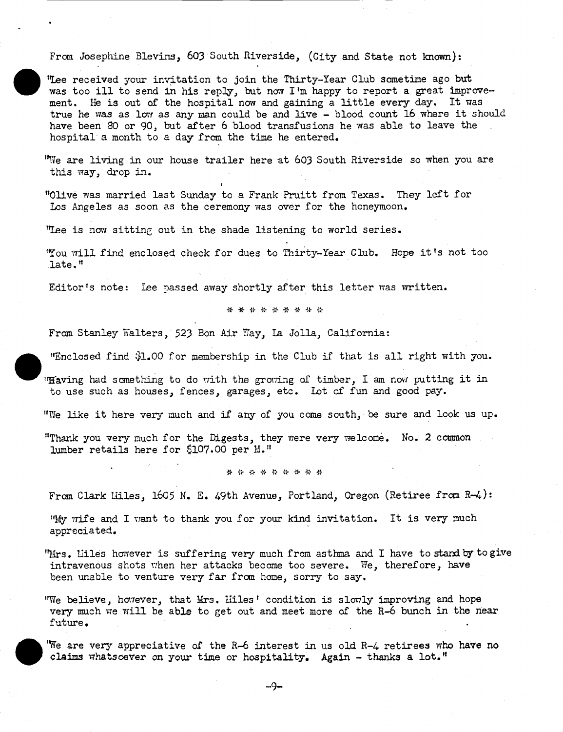From Josephine Blevins, 603 South Riverside, (City and State not known):

The received your invitation to join the Thirty-Year Club sometime ago but was too ill to send in his reply, but now I'm happy to report a great improvement. He is out of the hospital now and gaining a little every day. It was true he was as low as any man could be and live - blood count 16 where it should have been 80 or 90, but after 6 blood transfusions he was able to leave the hospital a month to a day from the time he entered.

"We are living in our house trailer here at 603 South Riverside so when you are this way, drop in.

"Olive was married last Sunday to a Frank Pruitt from Texas. They left for Los Angeles as soon as the ceremony was over for the honeymoon.

"Lee is now sitting out in the shade listening to world series.

You will find enclosed check for dues to Thirty-Year Club. Hope it 's not too .late.'

Editor's note: lee passed away shortly after this letter was written.

\* \* \* \* \* \* \* \* \*

From Stanley Walters, 523 Bon Air Way, La Jolla, California:

find l.00 for iernbership in the Club if that is all right with you.

"Having had something to do with the growing of timber, I am now putting it in to use such as houses, fences, garages, etc. Lot of fun and good pay.

"We like it here very much and if any of you come south, be sure and look us up.

"Thank you very much for the Digests, they were very welcome. No. 2 common lumber retails here for \$107.00 per M."

\* \* \* \* \* \* \* \* \*

From Clark Liles, 1605 N. E. 49th Avenue, Portland, Oregon (Retiree from R-4):

"My wife and I want to thank you for your kind invitation. It is very much appreciated.

"Mrs. Hiles however is suffering very much from asthma and I have to stand by to give intravenous shots when her attacks become too severe. We, therefore, have been unable to venture very far fran home, sorry to say.

"We believe, however, that Mrs. Miles' condition is slowly Improving and hope very much we will be able to get out and meet more of the R-6 bunch in the near future.

claims whatsoever on your time or hospitality. Again - thanks a lot." We are very appreciative of the R-6 interest in us old R-4 retirees who have no

-9-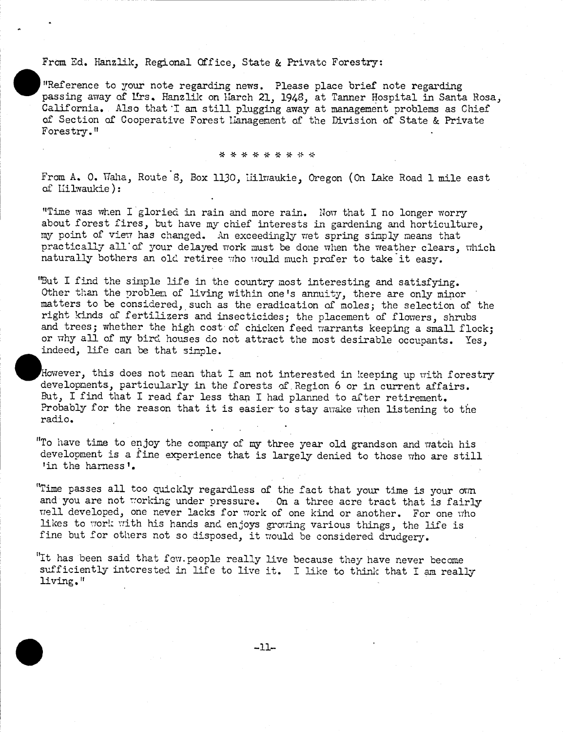#### From Ed. Hanzlik, Regional Office, State & Private Forestry:

"Reference to your note regarding news. Please place brief note regarding passing away of Urs. Hanzlik on Harch 21, 1948, at Tanner Hospital in Santa Rosa, California. Also that I am still plugging away at management problems as Chief of Section of Cooperative Forest Lianagenent of the Division of State & Private Forestry."

#### \* \* \* \* \* \* \* \* \*

From A. 0. Waha, Route 8, Box 1130, iiilvraukie, Oregon (On lake Road 1 mile east of Liilwaukie):

"Time was when I gloried in rain and more rain. Now that I no longer worry about forest fires, but have my chief interests in gardening and horticulture, my point of view has changed. An exceedingly wet spring simply means that practically all of your delayed work must be done when the weather clears, which naturally bothers an old retiree who would much profer to take it easy.

"But I find the simple life in the country most interesting and satisfying. Other than the problem of living within one's annuity, there are only minor matters to be considered, such as the eradication of moles; the selection of the right kinds of fertilizers and insecticides; the placement of flowers, shrubs and trees; whether the high cost of chicken feed warrants keeping a small flock; or why all of my bird houses do not attract the most desirable occupants. Yes, indeed, life can be that simple.

However, this does not mean that I am not interested in keeping up with forestry developments, particularly in the forests of. Region 6 or in current affairs. But, I find that I read far less than I had planned to after retirement. Probably for the reason that it is easier to stay awake when listening to the radio.

"To have time to enjoy the company of my three year old grandson and watch his development is a fine experience that is largely denied to those who are still 'in the harness'.

"Time passes all too quickly regardless of the fact that your time is your own and you are not working under pressure. On a three acre tract that is fairly well developed, one never lacks for work of one kind or another. For one who likes to work with his hands and enjoys growing various things, the life is fine but for others not so disposed, it would be considered drudgery.

"It has been said that few.people really live because they have never become sufficiently interested in life to live it. I like to think that I am really living."

-II-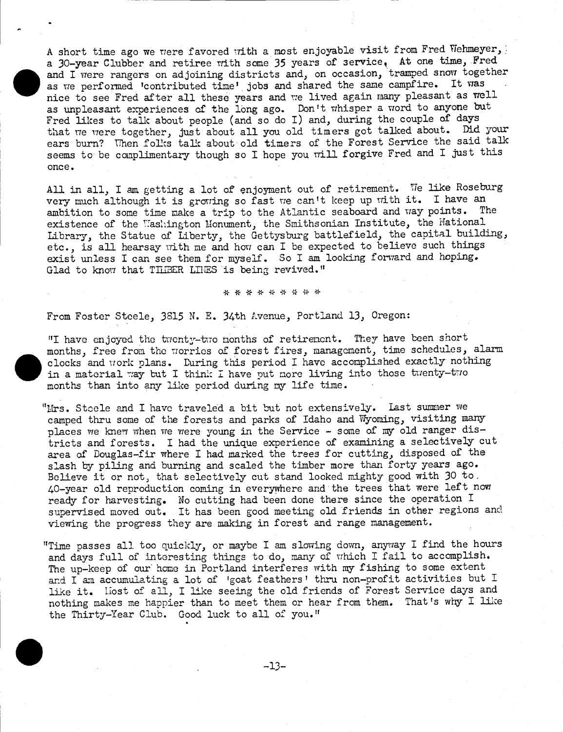A short time ago we were favored with a most enjoyable visit from Fred Viehmeyer, a 30-year Clubber and retiree with some 35 years of service, At one time, Fred as we performed 'contributed time' jobs and shared the same campfire. It was nice to see Fred after all these years and we lived again many pleasant as well and I were rangers on adjoining districts and, on occasion, tramped snow together nice to see Fred after all these years and we lived again many pleasant as well as unpleasant experiences of the long ago. Don't whisper a word to anyone but Fred likes to talk about people (and so do I) and, during the couple of days that we were together, just about all you old timers got talked about. Did your ears burn? When folks talk about old timers of the Forest Service the said talk seems to be complimentary though so I hope you will forgive Fred and I just this once.

AU in all, I am getting a lot of enjoyment out of retirement. Te like Roseburg very much although it is growing so fast we can't keep up with it. I have an ambition to some time pake a trip to the Atlantic seaboard and way points. The ambition to some time make a trip to the Atlantic seaboard and way points. existence of the Washington Monument, the Smithsonian Institute, the Mational Library, the Statue of Liberty, the Gettysburg battlefield, the capital building, etc., is all hearsay with me and how can I be expected to believe such things exist unless I can see them for myself. So I am looking forward and hoping. Glad to know that TILBER LILES is being revived."

\* \* \* \* \* \* \* \* \*

From Foster Steele, 3815 N. E. 34th Lvenue, Portland 13, Oregon:

"I have enjoyed the twenty-two months of retirencnt. They have been short in a material way but I think I have put more living into those twenty-two months, then into one like nexted during we life time. months, free from the worries of forest fires, management, time schedules, alarm clocks and work plans. During this period I have accomplished exactly nothing months than into any like period during my life time.

"Mrs. Stoele and I have traveled a bit but not extensively. Last summer we camped thru some of the forests and parks of Idaho and Wyoming, visiting many places we knew when we were young in the Service - some of my old ranger districts and forests. I had the unique experience of examining a selectively cut area of Douglas-fir where I had marked the trees for cutting, disposed of the slash by piling and burning and scaled the timber more than forty years ago. Believe it or not, that selectively cut stand looked mighty good with 30 to, 40-year old reproduction coming in everywhere and the trees that were left now ready for harvesting. No cutting had been done there since the operation I supervised moved out. It has been good meeting old friends in other regions and viewing the progress they are making in forest and range management.

"Time passes all too quickly, or maybe I am slowing down, anyway I find the hours and days full of interesting things to do, many of which I fail to accomplish. The up-keep of our' home in Portland interferes with my fishing to some extent and I am accumulating a lot of 'goat feathers' thru non-profit activities but I like it. liost of all, I like seeing the old friends of Forest Service days and nothing makes me happier than to meet them or hear from them. That's why I like the Thirty-Year Club. Good luck to all of you."

-13-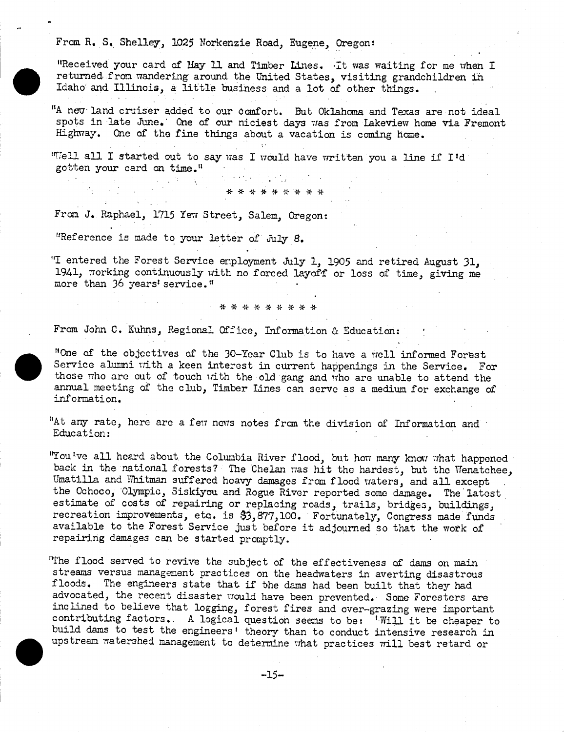From R. S. Shelley, 1025 Norkenzie Road, Eugene, Oregon:

"Received your card of Hay 11 and Timber Lines. It was waiting for me when I returned. from wandering around. the United States, visiting grandchildren in Idaho and Illinois, a little business and a lot of other things.

"A nev land cruiser added to our comfort. But Oklahoma and Texas are not ideal spots in late June.' One of our niciest days was from Lakeview home via Fremont Highway. One of the fine things about a vacation is coming home.

\* \* \* \* \* \* \* \* \*

"Tell all I started out to say was I would have written you a line if I'd gotten your card on time.<sup>11</sup>

From J. Raphael, 1715 Yew Street, Salem, Oregon:

1Reference is made to your letter of Ju]y 8.

"I entered the Forest Service enployment July 1, 1905 and retired August 31, 1941, working continuously with no forced layoff or loss of time, giving me more than 36 years' service."

#### \* \* \* \* \* \* \* \* \*

From John C. Kuhns, Regional Office, Information & Education:

"One of the objectives of the 30-Year Chemistric Service alumni with a keen interest in contract the service who are out of the club Timber Lines "One of the objectives of the 30-Year Club is to have a well informed Forest Service alumni with a keen interest in current happenings in the Service. For those who are out of touch with the old gang and who are unable to attend the annual meeting of the club, Timber Lines can servo as a medium for exchange of information.

"At any rate, here are a few news notes from the division of Information and Education:

"You've all heard about the Columbia River flood, but how many know what happened back in the national forests? The Chelan was hit the hardest, but the Wenatchee, Umatilla and Whitman suffered heavy damages from flood waters, and all except the Ochoco, Olympic, Siskiyou and Rogue River reported some damage. The latest estimate of costs of repairing or replacing roads, trails, bridges, buildings, recreation improvements, etc. is 33,877,lOO. Fortunately, Congress made funds available to the Forest Service just before it adjourned so that the work of' repairing damages can be started promptly.

upstream watershed management to determine what practices will best retard or The flood served to revive the subject of the effectiveness of dams on main streams versus management practices on the headwaters in averting disastrous floods. The engineers state that. if the dams had been built that they had advocated, the recent disaster would have been prevented. Some Foresters are inclined to believe that logging, forest fires and over-grazing were important contributing factors. A logical question seems to be: 'Will it be cheaper to build dams to test the engineers' theory than to conduct intensive research in